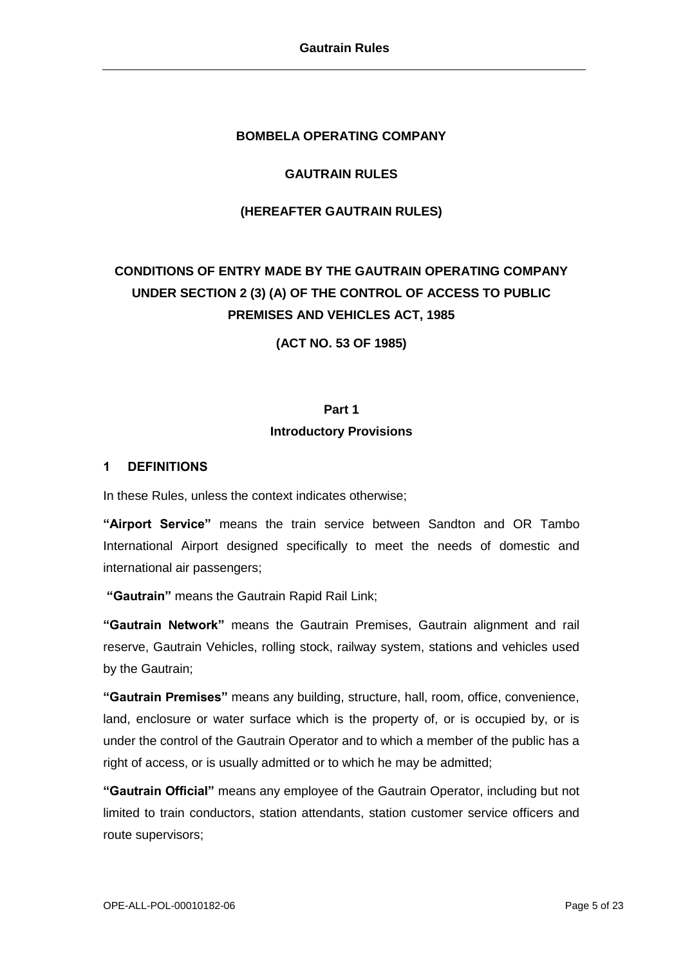#### **BOMBELA OPERATING COMPANY**

## **GAUTRAIN RULES**

#### **(HEREAFTER GAUTRAIN RULES)**

# **CONDITIONS OF ENTRY MADE BY THE GAUTRAIN OPERATING COMPANY UNDER SECTION 2 (3) (A) OF THE CONTROL OF ACCESS TO PUBLIC PREMISES AND VEHICLES ACT, 1985**

**(ACT NO. 53 OF 1985)**

## **Part 1 Introductory Provisions**

#### **1 DEFINITIONS**

In these Rules, unless the context indicates otherwise;

**"Airport Service"** means the train service between Sandton and OR Tambo International Airport designed specifically to meet the needs of domestic and international air passengers;

**"Gautrain"** means the Gautrain Rapid Rail Link;

**"Gautrain Network"** means the Gautrain Premises, Gautrain alignment and rail reserve, Gautrain Vehicles, rolling stock, railway system, stations and vehicles used by the Gautrain;

**"Gautrain Premises"** means any building, structure, hall, room, office, convenience, land, enclosure or water surface which is the property of, or is occupied by, or is under the control of the Gautrain Operator and to which a member of the public has a right of access, or is usually admitted or to which he may be admitted;

**"Gautrain Official"** means any employee of the Gautrain Operator, including but not limited to train conductors, station attendants, station customer service officers and route supervisors;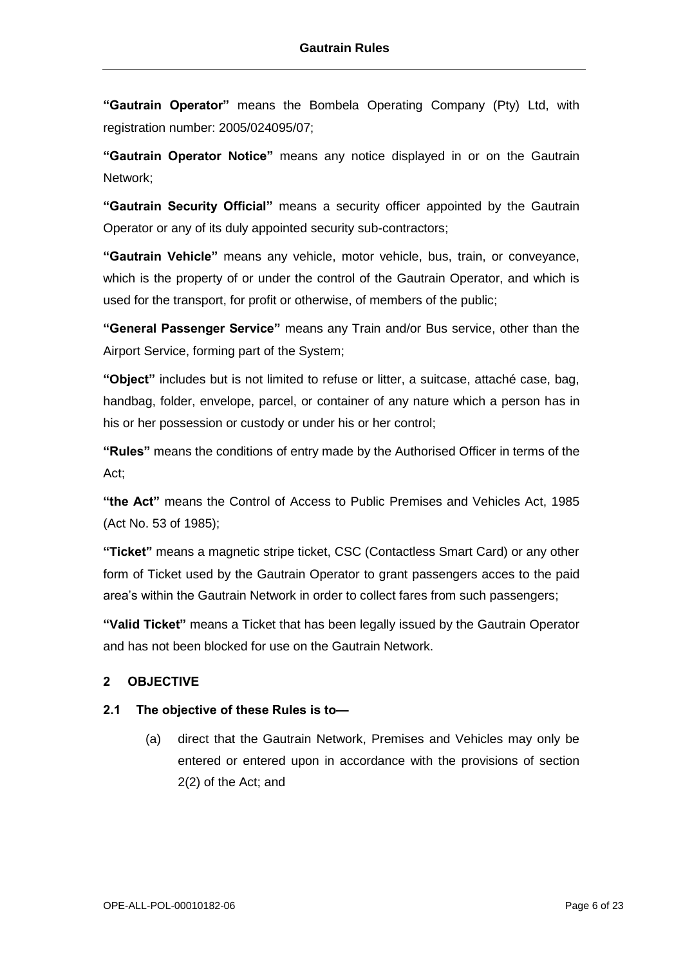**"Gautrain Operator"** means the Bombela Operating Company (Pty) Ltd, with registration number: 2005/024095/07;

**"Gautrain Operator Notice"** means any notice displayed in or on the Gautrain Network;

**"Gautrain Security Official"** means a security officer appointed by the Gautrain Operator or any of its duly appointed security sub-contractors;

**"Gautrain Vehicle"** means any vehicle, motor vehicle, bus, train, or conveyance, which is the property of or under the control of the Gautrain Operator, and which is used for the transport, for profit or otherwise, of members of the public;

**"General Passenger Service"** means any Train and/or Bus service, other than the Airport Service, forming part of the System;

**"Object"** includes but is not limited to refuse or litter, a suitcase, attaché case, bag, handbag, folder, envelope, parcel, or container of any nature which a person has in his or her possession or custody or under his or her control;

**"Rules"** means the conditions of entry made by the Authorised Officer in terms of the Act;

**"the Act"** means the Control of Access to Public Premises and Vehicles Act, 1985 (Act No. 53 of 1985);

**"Ticket"** means a magnetic stripe ticket, CSC (Contactless Smart Card) or any other form of Ticket used by the Gautrain Operator to grant passengers acces to the paid area's within the Gautrain Network in order to collect fares from such passengers;

**"Valid Ticket"** means a Ticket that has been legally issued by the Gautrain Operator and has not been blocked for use on the Gautrain Network.

## **2 OBJECTIVE**

### **2.1 The objective of these Rules is to—**

(a) direct that the Gautrain Network, Premises and Vehicles may only be entered or entered upon in accordance with the provisions of section 2(2) of the Act; and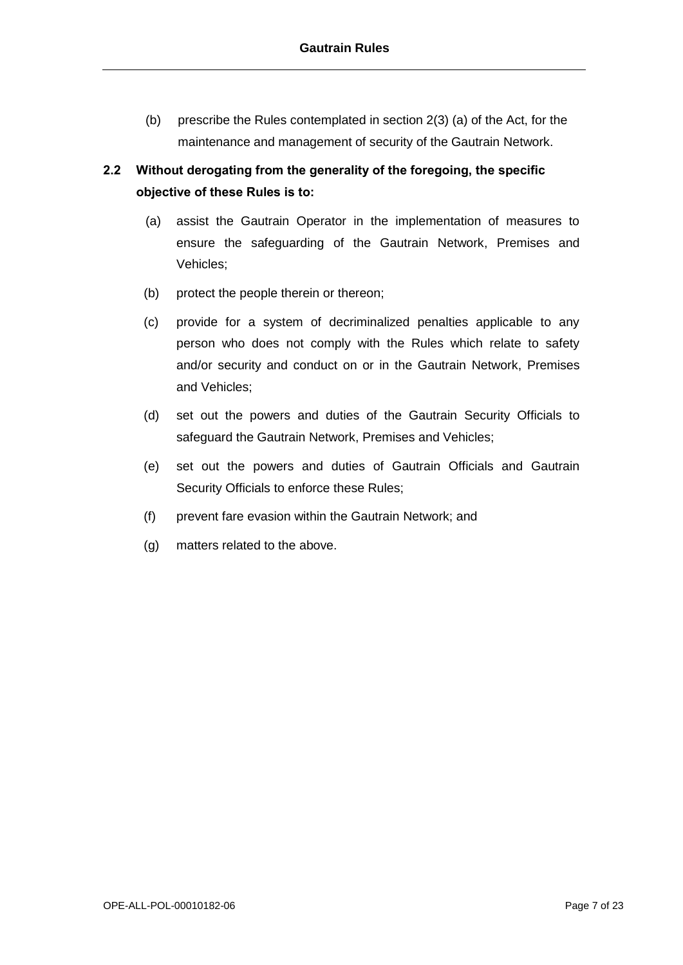(b) prescribe the Rules contemplated in section 2(3) (a) of the Act, for the maintenance and management of security of the Gautrain Network.

# **2.2 Without derogating from the generality of the foregoing, the specific objective of these Rules is to:**

- (a) assist the Gautrain Operator in the implementation of measures to ensure the safeguarding of the Gautrain Network, Premises and Vehicles;
- (b) protect the people therein or thereon;
- (c) provide for a system of decriminalized penalties applicable to any person who does not comply with the Rules which relate to safety and/or security and conduct on or in the Gautrain Network, Premises and Vehicles;
- (d) set out the powers and duties of the Gautrain Security Officials to safeguard the Gautrain Network, Premises and Vehicles;
- (e) set out the powers and duties of Gautrain Officials and Gautrain Security Officials to enforce these Rules;
- (f) prevent fare evasion within the Gautrain Network; and
- (g) matters related to the above.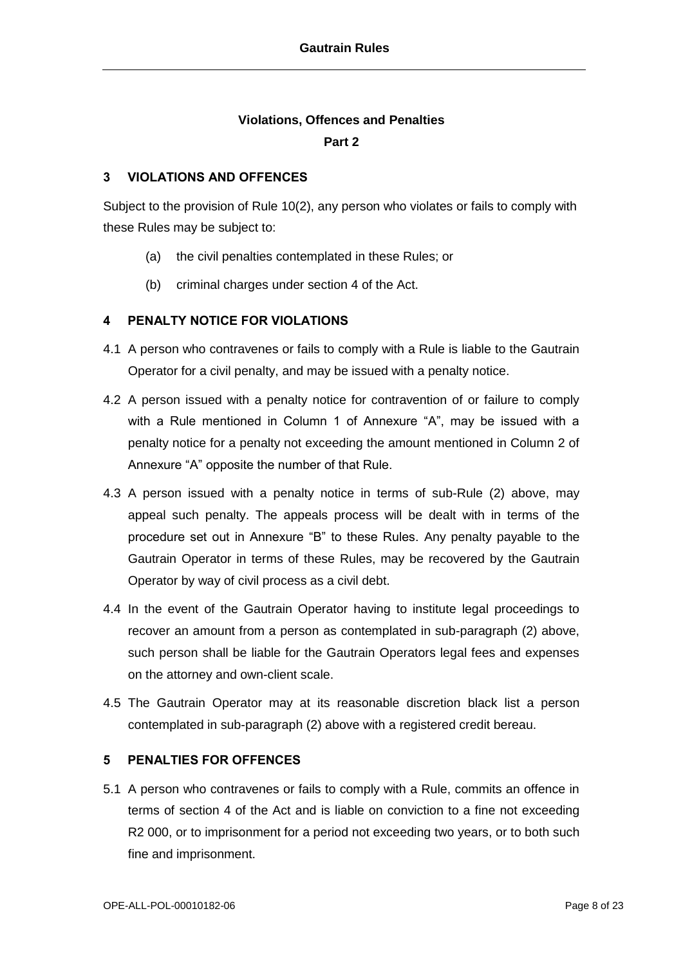## **Violations, Offences and Penalties**

#### **Part 2**

### **3 VIOLATIONS AND OFFENCES**

Subject to the provision of Rule 10(2), any person who violates or fails to comply with these Rules may be subject to:

- (a) the civil penalties contemplated in these Rules; or
- (b) criminal charges under section 4 of the Act.

### **4 PENALTY NOTICE FOR VIOLATIONS**

- 4.1 A person who contravenes or fails to comply with a Rule is liable to the Gautrain Operator for a civil penalty, and may be issued with a penalty notice.
- 4.2 A person issued with a penalty notice for contravention of or failure to comply with a Rule mentioned in Column 1 of Annexure "A", may be issued with a penalty notice for a penalty not exceeding the amount mentioned in Column 2 of Annexure "A" opposite the number of that Rule.
- 4.3 A person issued with a penalty notice in terms of sub-Rule (2) above, may appeal such penalty. The appeals process will be dealt with in terms of the procedure set out in Annexure "B" to these Rules. Any penalty payable to the Gautrain Operator in terms of these Rules, may be recovered by the Gautrain Operator by way of civil process as a civil debt.
- 4.4 In the event of the Gautrain Operator having to institute legal proceedings to recover an amount from a person as contemplated in sub-paragraph (2) above, such person shall be liable for the Gautrain Operators legal fees and expenses on the attorney and own-client scale.
- 4.5 The Gautrain Operator may at its reasonable discretion black list a person contemplated in sub-paragraph (2) above with a registered credit bereau.

### **5 PENALTIES FOR OFFENCES**

5.1 A person who contravenes or fails to comply with a Rule, commits an offence in terms of section 4 of the Act and is liable on conviction to a fine not exceeding R2 000, or to imprisonment for a period not exceeding two years, or to both such fine and imprisonment.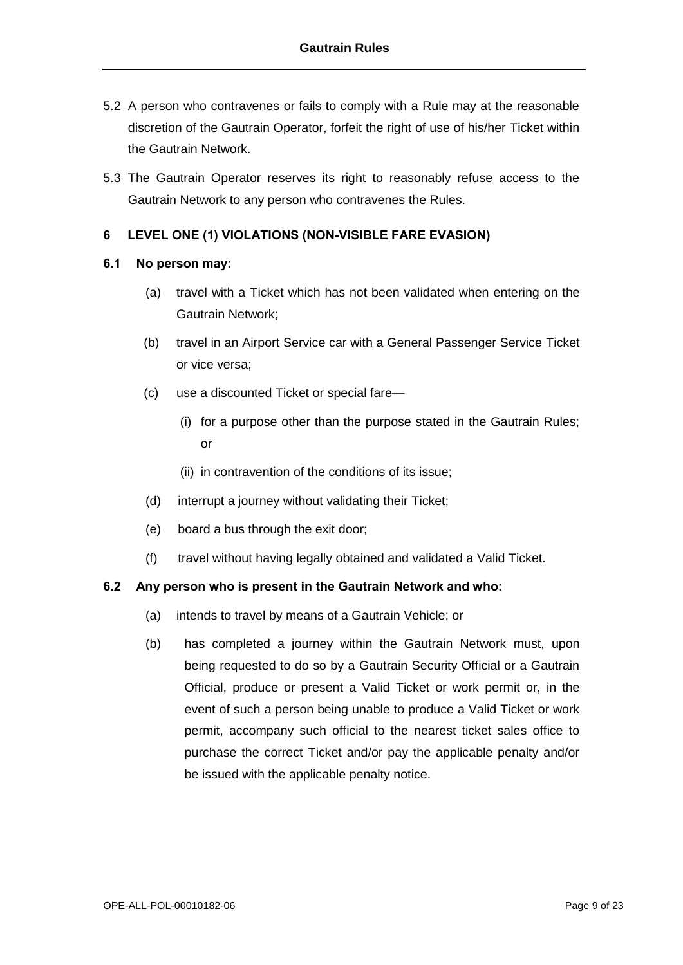- 5.2 A person who contravenes or fails to comply with a Rule may at the reasonable discretion of the Gautrain Operator, forfeit the right of use of his/her Ticket within the Gautrain Network.
- 5.3 The Gautrain Operator reserves its right to reasonably refuse access to the Gautrain Network to any person who contravenes the Rules.

### **6 LEVEL ONE (1) VIOLATIONS (NON-VISIBLE FARE EVASION)**

#### **6.1 No person may:**

- (a) travel with a Ticket which has not been validated when entering on the Gautrain Network;
- (b) travel in an Airport Service car with a General Passenger Service Ticket or vice versa;
- (c) use a discounted Ticket or special fare—
	- (i) for a purpose other than the purpose stated in the Gautrain Rules; or
	- (ii) in contravention of the conditions of its issue;
- (d) interrupt a journey without validating their Ticket;
- (e) board a bus through the exit door;
- (f) travel without having legally obtained and validated a Valid Ticket.

### **6.2 Any person who is present in the Gautrain Network and who:**

- (a) intends to travel by means of a Gautrain Vehicle; or
- (b) has completed a journey within the Gautrain Network must, upon being requested to do so by a Gautrain Security Official or a Gautrain Official, produce or present a Valid Ticket or work permit or, in the event of such a person being unable to produce a Valid Ticket or work permit, accompany such official to the nearest ticket sales office to purchase the correct Ticket and/or pay the applicable penalty and/or be issued with the applicable penalty notice.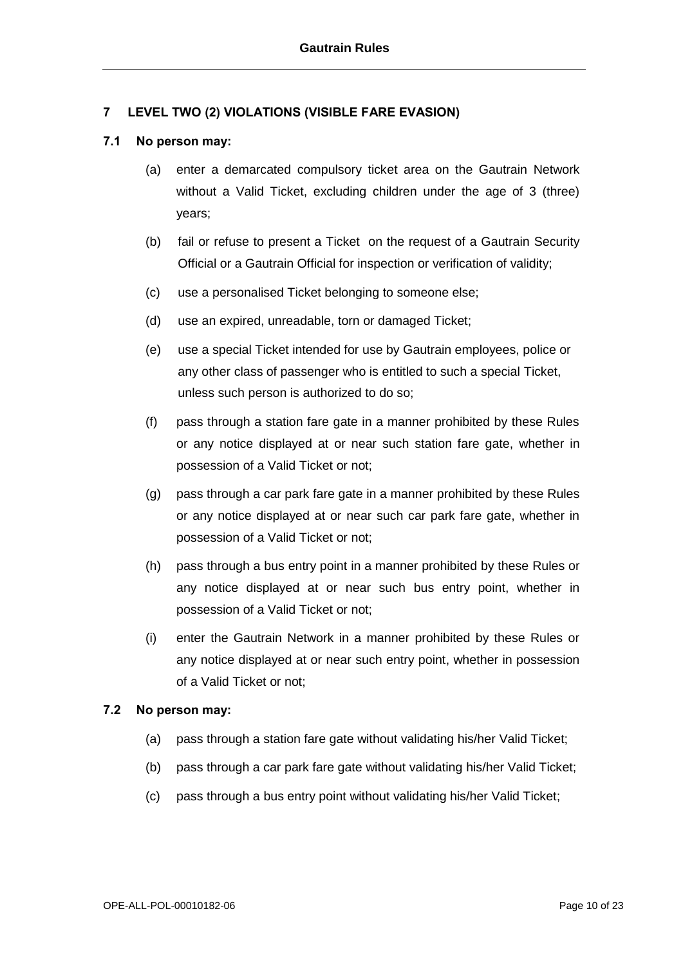### **7 LEVEL TWO (2) VIOLATIONS (VISIBLE FARE EVASION)**

#### **7.1 No person may:**

- (a) enter a demarcated compulsory ticket area on the Gautrain Network without a Valid Ticket, excluding children under the age of 3 (three) years;
- (b) fail or refuse to present a Ticket on the request of a Gautrain Security Official or a Gautrain Official for inspection or verification of validity;
- (c) use a personalised Ticket belonging to someone else;
- (d) use an expired, unreadable, torn or damaged Ticket;
- (e) use a special Ticket intended for use by Gautrain employees, police or any other class of passenger who is entitled to such a special Ticket, unless such person is authorized to do so;
- (f) pass through a station fare gate in a manner prohibited by these Rules or any notice displayed at or near such station fare gate, whether in possession of a Valid Ticket or not;
- (g) pass through a car park fare gate in a manner prohibited by these Rules or any notice displayed at or near such car park fare gate, whether in possession of a Valid Ticket or not;
- (h) pass through a bus entry point in a manner prohibited by these Rules or any notice displayed at or near such bus entry point, whether in possession of a Valid Ticket or not;
- (i) enter the Gautrain Network in a manner prohibited by these Rules or any notice displayed at or near such entry point, whether in possession of a Valid Ticket or not;

### **7.2 No person may:**

- (a) pass through a station fare gate without validating his/her Valid Ticket;
- (b) pass through a car park fare gate without validating his/her Valid Ticket;
- (c) pass through a bus entry point without validating his/her Valid Ticket;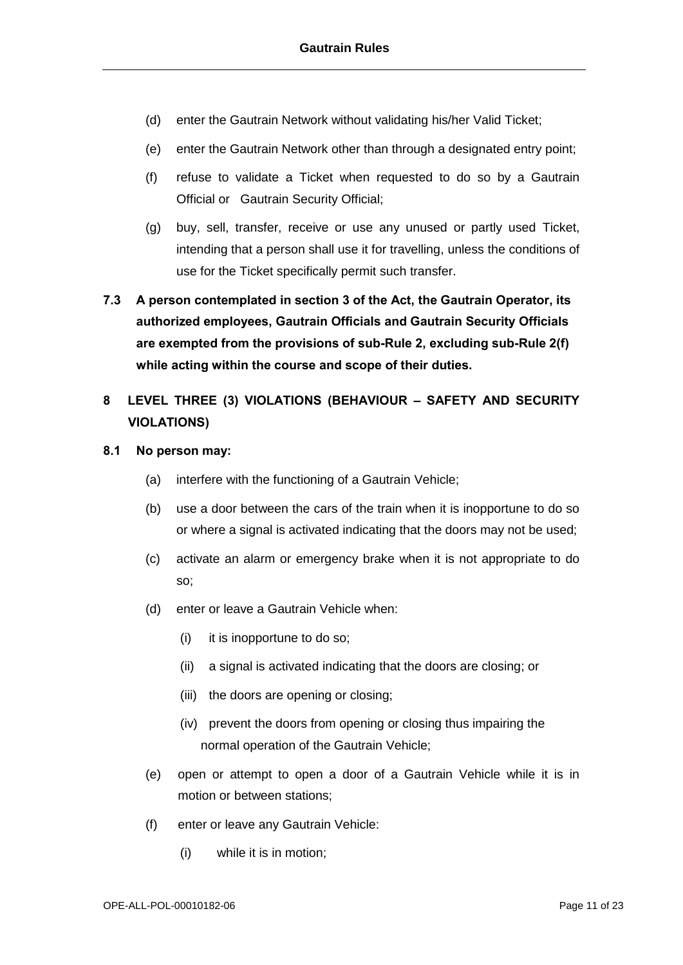- (d) enter the Gautrain Network without validating his/her Valid Ticket;
- (e) enter the Gautrain Network other than through a designated entry point;
- (f) refuse to validate a Ticket when requested to do so by a Gautrain Official or Gautrain Security Official;
- (g) buy, sell, transfer, receive or use any unused or partly used Ticket, intending that a person shall use it for travelling, unless the conditions of use for the Ticket specifically permit such transfer.
- **7.3 A person contemplated in section 3 of the Act, the Gautrain Operator, its authorized employees, Gautrain Officials and Gautrain Security Officials are exempted from the provisions of sub-Rule 2, excluding sub-Rule 2(f) while acting within the course and scope of their duties.**
- **8 LEVEL THREE (3) VIOLATIONS (BEHAVIOUR – SAFETY AND SECURITY VIOLATIONS)**
- **8.1 No person may:**
	- (a) interfere with the functioning of a Gautrain Vehicle;
	- (b) use a door between the cars of the train when it is inopportune to do so or where a signal is activated indicating that the doors may not be used;
	- (c) activate an alarm or emergency brake when it is not appropriate to do so;
	- (d) enter or leave a Gautrain Vehicle when:
		- (i) it is inopportune to do so;
		- (ii) a signal is activated indicating that the doors are closing; or
		- (iii) the doors are opening or closing;
		- (iv) prevent the doors from opening or closing thus impairing the normal operation of the Gautrain Vehicle;
	- (e) open or attempt to open a door of a Gautrain Vehicle while it is in motion or between stations;
	- (f) enter or leave any Gautrain Vehicle:
		- (i) while it is in motion;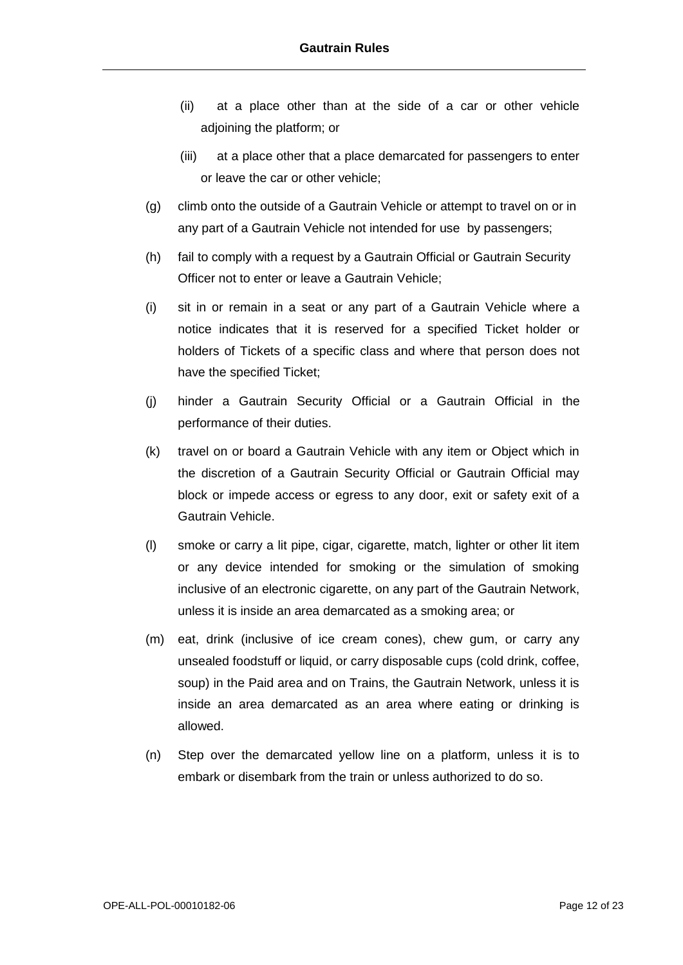- (ii) at a place other than at the side of a car or other vehicle adjoining the platform; or
- (iii) at a place other that a place demarcated for passengers to enter or leave the car or other vehicle;
- (g) climb onto the outside of a Gautrain Vehicle or attempt to travel on or in any part of a Gautrain Vehicle not intended for use by passengers;
- (h) fail to comply with a request by a Gautrain Official or Gautrain Security Officer not to enter or leave a Gautrain Vehicle;
- (i) sit in or remain in a seat or any part of a Gautrain Vehicle where a notice indicates that it is reserved for a specified Ticket holder or holders of Tickets of a specific class and where that person does not have the specified Ticket;
- (j) hinder a Gautrain Security Official or a Gautrain Official in the performance of their duties.
- (k) travel on or board a Gautrain Vehicle with any item or Object which in the discretion of a Gautrain Security Official or Gautrain Official may block or impede access or egress to any door, exit or safety exit of a Gautrain Vehicle.
- (l) smoke or carry a lit pipe, cigar, cigarette, match, lighter or other lit item or any device intended for smoking or the simulation of smoking inclusive of an electronic cigarette, on any part of the Gautrain Network, unless it is inside an area demarcated as a smoking area; or
- (m) eat, drink (inclusive of ice cream cones), chew gum, or carry any unsealed foodstuff or liquid, or carry disposable cups (cold drink, coffee, soup) in the Paid area and on Trains, the Gautrain Network, unless it is inside an area demarcated as an area where eating or drinking is allowed.
- (n) Step over the demarcated yellow line on a platform, unless it is to embark or disembark from the train or unless authorized to do so.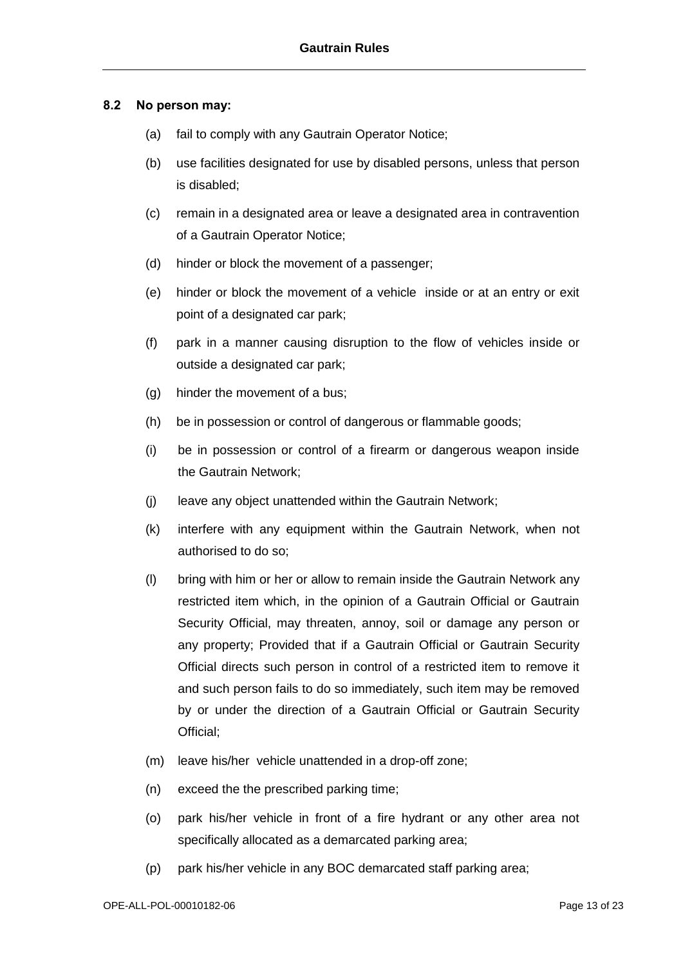### **8.2 No person may:**

- (a) fail to comply with any Gautrain Operator Notice;
- (b) use facilities designated for use by disabled persons, unless that person is disabled;
- (c) remain in a designated area or leave a designated area in contravention of a Gautrain Operator Notice;
- (d) hinder or block the movement of a passenger;
- (e) hinder or block the movement of a vehicle inside or at an entry or exit point of a designated car park;
- (f) park in a manner causing disruption to the flow of vehicles inside or outside a designated car park;
- (g) hinder the movement of a bus;
- (h) be in possession or control of dangerous or flammable goods;
- (i) be in possession or control of a firearm or dangerous weapon inside the Gautrain Network;
- (j) leave any object unattended within the Gautrain Network;
- (k) interfere with any equipment within the Gautrain Network, when not authorised to do so;
- (l) bring with him or her or allow to remain inside the Gautrain Network any restricted item which, in the opinion of a Gautrain Official or Gautrain Security Official, may threaten, annoy, soil or damage any person or any property; Provided that if a Gautrain Official or Gautrain Security Official directs such person in control of a restricted item to remove it and such person fails to do so immediately, such item may be removed by or under the direction of a Gautrain Official or Gautrain Security Official;
- (m) leave his/her vehicle unattended in a drop-off zone;
- (n) exceed the the prescribed parking time;
- (o) park his/her vehicle in front of a fire hydrant or any other area not specifically allocated as a demarcated parking area;
- (p) park his/her vehicle in any BOC demarcated staff parking area;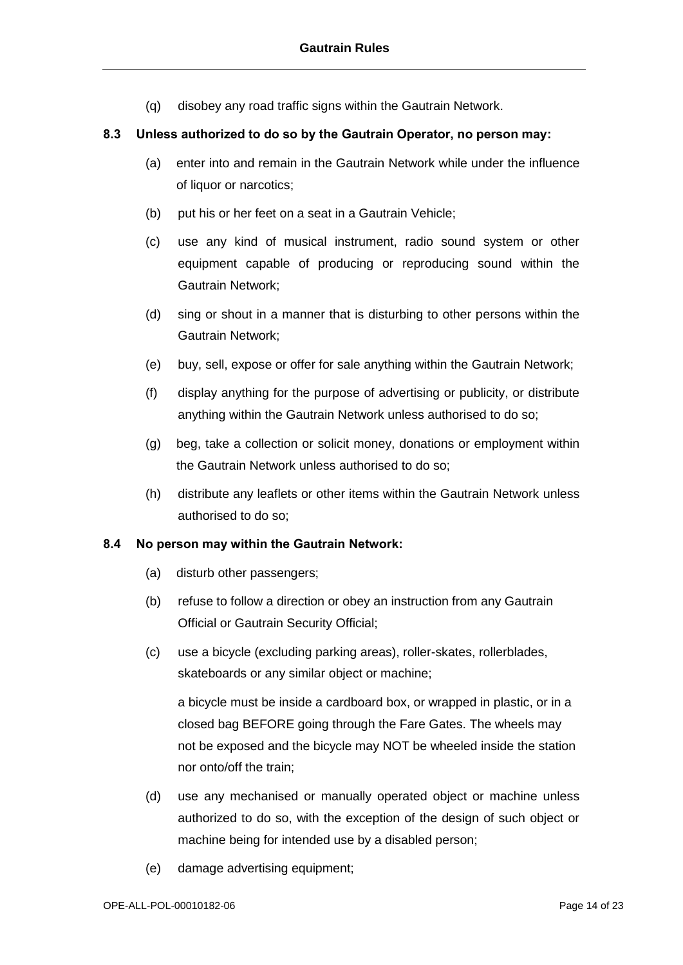(q) disobey any road traffic signs within the Gautrain Network.

#### **8.3 Unless authorized to do so by the Gautrain Operator, no person may:**

- (a) enter into and remain in the Gautrain Network while under the influence of liquor or narcotics;
- (b) put his or her feet on a seat in a Gautrain Vehicle;
- (c) use any kind of musical instrument, radio sound system or other equipment capable of producing or reproducing sound within the Gautrain Network;
- (d) sing or shout in a manner that is disturbing to other persons within the Gautrain Network;
- (e) buy, sell, expose or offer for sale anything within the Gautrain Network;
- (f) display anything for the purpose of advertising or publicity, or distribute anything within the Gautrain Network unless authorised to do so;
- (g) beg, take a collection or solicit money, donations or employment within the Gautrain Network unless authorised to do so;
- (h) distribute any leaflets or other items within the Gautrain Network unless authorised to do so;

#### **8.4 No person may within the Gautrain Network:**

- (a) disturb other passengers;
- (b) refuse to follow a direction or obey an instruction from any Gautrain Official or Gautrain Security Official;
- (c) use a bicycle (excluding parking areas), roller-skates, rollerblades, skateboards or any similar object or machine;

a bicycle must be inside a cardboard box, or wrapped in plastic, or in a closed bag BEFORE going through the Fare Gates. The wheels may not be exposed and the bicycle may NOT be wheeled inside the station nor onto/off the train;

- (d) use any mechanised or manually operated object or machine unless authorized to do so, with the exception of the design of such object or machine being for intended use by a disabled person;
- (e) damage advertising equipment;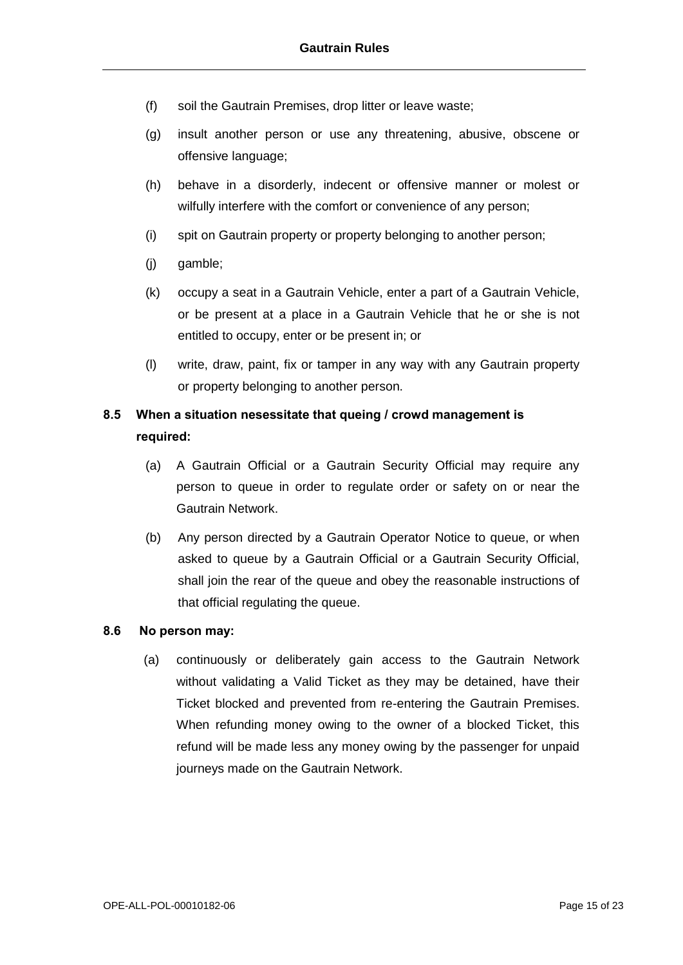- (f) soil the Gautrain Premises, drop litter or leave waste;
- (g) insult another person or use any threatening, abusive, obscene or offensive language;
- (h) behave in a disorderly, indecent or offensive manner or molest or wilfully interfere with the comfort or convenience of any person;
- (i) spit on Gautrain property or property belonging to another person;
- (j) gamble;
- (k) occupy a seat in a Gautrain Vehicle, enter a part of a Gautrain Vehicle, or be present at a place in a Gautrain Vehicle that he or she is not entitled to occupy, enter or be present in; or
- (l) write, draw, paint, fix or tamper in any way with any Gautrain property or property belonging to another person.

## **8.5 When a situation nesessitate that queing / crowd management is required:**

- (a) A Gautrain Official or a Gautrain Security Official may require any person to queue in order to regulate order or safety on or near the Gautrain Network.
- (b) Any person directed by a Gautrain Operator Notice to queue, or when asked to queue by a Gautrain Official or a Gautrain Security Official, shall join the rear of the queue and obey the reasonable instructions of that official regulating the queue.

### **8.6 No person may:**

(a) continuously or deliberately gain access to the Gautrain Network without validating a Valid Ticket as they may be detained, have their Ticket blocked and prevented from re-entering the Gautrain Premises. When refunding money owing to the owner of a blocked Ticket, this refund will be made less any money owing by the passenger for unpaid journeys made on the Gautrain Network.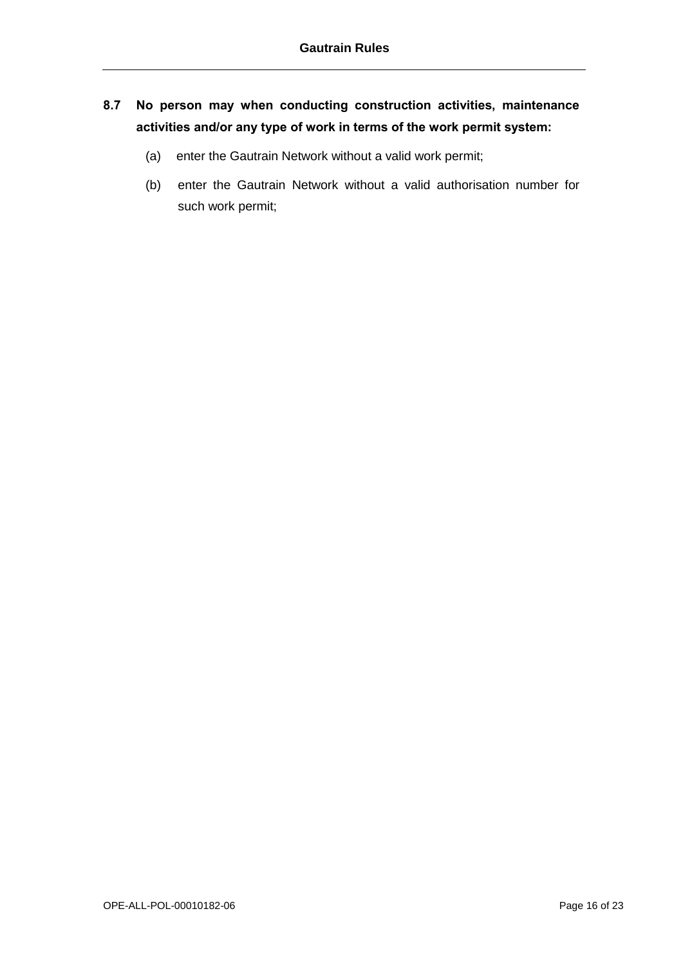## **8.7 No person may when conducting construction activities, maintenance activities and/or any type of work in terms of the work permit system:**

- (a) enter the Gautrain Network without a valid work permit;
- (b) enter the Gautrain Network without a valid authorisation number for such work permit;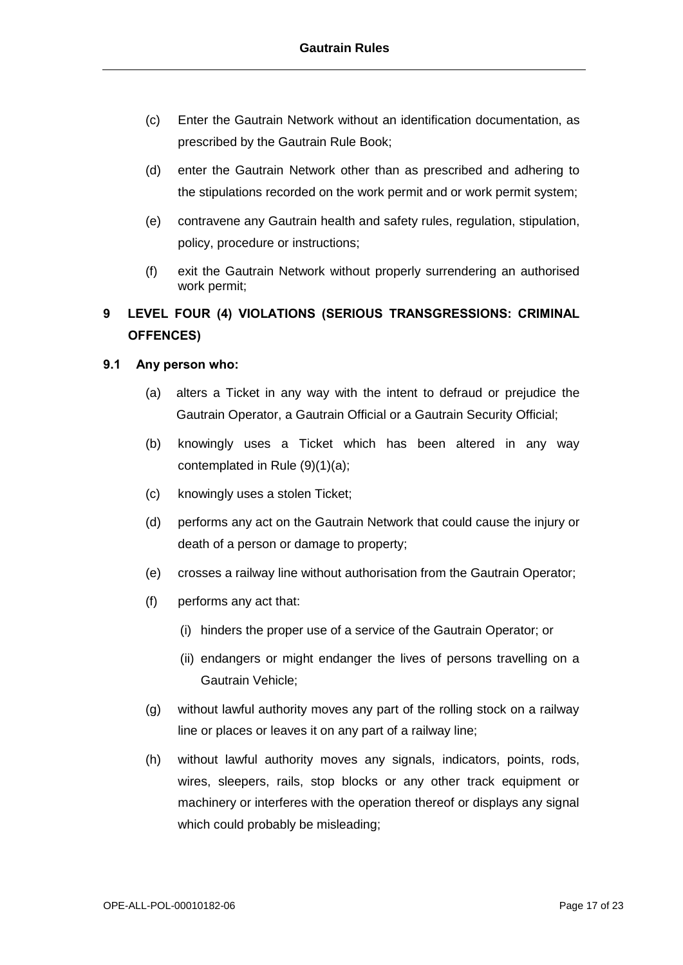- (c) Enter the Gautrain Network without an identification documentation, as prescribed by the Gautrain Rule Book;
- (d) enter the Gautrain Network other than as prescribed and adhering to the stipulations recorded on the work permit and or work permit system;
- (e) contravene any Gautrain health and safety rules, regulation, stipulation, policy, procedure or instructions;
- (f) exit the Gautrain Network without properly surrendering an authorised work permit;

## **9 LEVEL FOUR (4) VIOLATIONS (SERIOUS TRANSGRESSIONS: CRIMINAL OFFENCES)**

### **9.1 Any person who:**

- (a) alters a Ticket in any way with the intent to defraud or prejudice the Gautrain Operator, a Gautrain Official or a Gautrain Security Official;
- (b) knowingly uses a Ticket which has been altered in any way contemplated in Rule (9)(1)(a);
- (c) knowingly uses a stolen Ticket;
- (d) performs any act on the Gautrain Network that could cause the injury or death of a person or damage to property;
- (e) crosses a railway line without authorisation from the Gautrain Operator;
- (f) performs any act that:
	- (i) hinders the proper use of a service of the Gautrain Operator; or
	- (ii) endangers or might endanger the lives of persons travelling on a Gautrain Vehicle;
- (g) without lawful authority moves any part of the rolling stock on a railway line or places or leaves it on any part of a railway line;
- (h) without lawful authority moves any signals, indicators, points, rods, wires, sleepers, rails, stop blocks or any other track equipment or machinery or interferes with the operation thereof or displays any signal which could probably be misleading;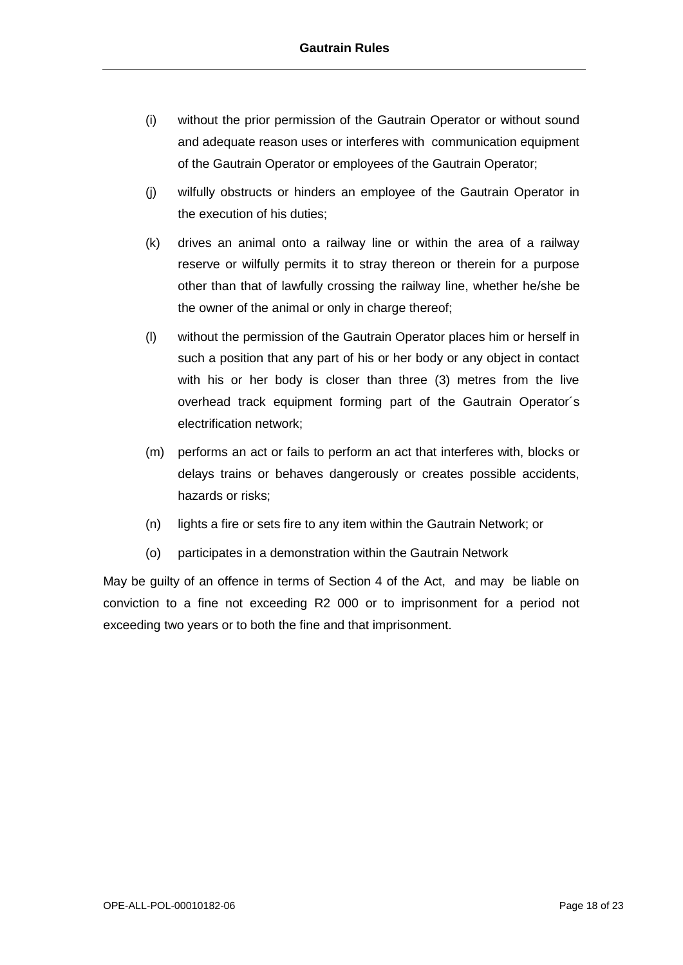- (i) without the prior permission of the Gautrain Operator or without sound and adequate reason uses or interferes with communication equipment of the Gautrain Operator or employees of the Gautrain Operator;
- (j) wilfully obstructs or hinders an employee of the Gautrain Operator in the execution of his duties;
- (k) drives an animal onto a railway line or within the area of a railway reserve or wilfully permits it to stray thereon or therein for a purpose other than that of lawfully crossing the railway line, whether he/she be the owner of the animal or only in charge thereof;
- (l) without the permission of the Gautrain Operator places him or herself in such a position that any part of his or her body or any object in contact with his or her body is closer than three (3) metres from the live overhead track equipment forming part of the Gautrain Operator´s electrification network;
- (m) performs an act or fails to perform an act that interferes with, blocks or delays trains or behaves dangerously or creates possible accidents, hazards or risks;
- (n) lights a fire or sets fire to any item within the Gautrain Network; or
- (o) participates in a demonstration within the Gautrain Network

May be guilty of an offence in terms of Section 4 of the Act, and may be liable on conviction to a fine not exceeding R2 000 or to imprisonment for a period not exceeding two years or to both the fine and that imprisonment.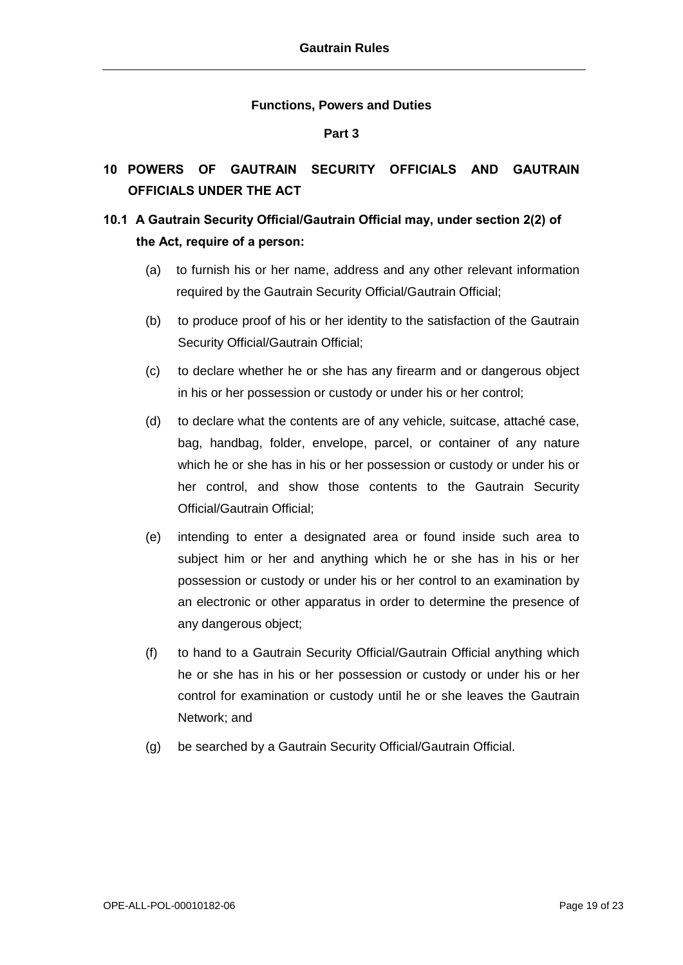#### **Functions, Powers and Duties**

#### **Part 3**

## **10 POWERS OF GAUTRAIN SECURITY OFFICIALS AND GAUTRAIN OFFICIALS UNDER THE ACT**

## **10.1 A Gautrain Security Official/Gautrain Official may, under section 2(2) of the Act, require of a person:**

- (a) to furnish his or her name, address and any other relevant information required by the Gautrain Security Official/Gautrain Official;
- (b) to produce proof of his or her identity to the satisfaction of the Gautrain Security Official/Gautrain Official;
- (c) to declare whether he or she has any firearm and or dangerous object in his or her possession or custody or under his or her control;
- (d) to declare what the contents are of any vehicle, suitcase, attaché case, bag, handbag, folder, envelope, parcel, or container of any nature which he or she has in his or her possession or custody or under his or her control, and show those contents to the Gautrain Security Official/Gautrain Official;
- (e) intending to enter a designated area or found inside such area to subject him or her and anything which he or she has in his or her possession or custody or under his or her control to an examination by an electronic or other apparatus in order to determine the presence of any dangerous object;
- (f) to hand to a Gautrain Security Official/Gautrain Official anything which he or she has in his or her possession or custody or under his or her control for examination or custody until he or she leaves the Gautrain Network; and
- (g) be searched by a Gautrain Security Official/Gautrain Official.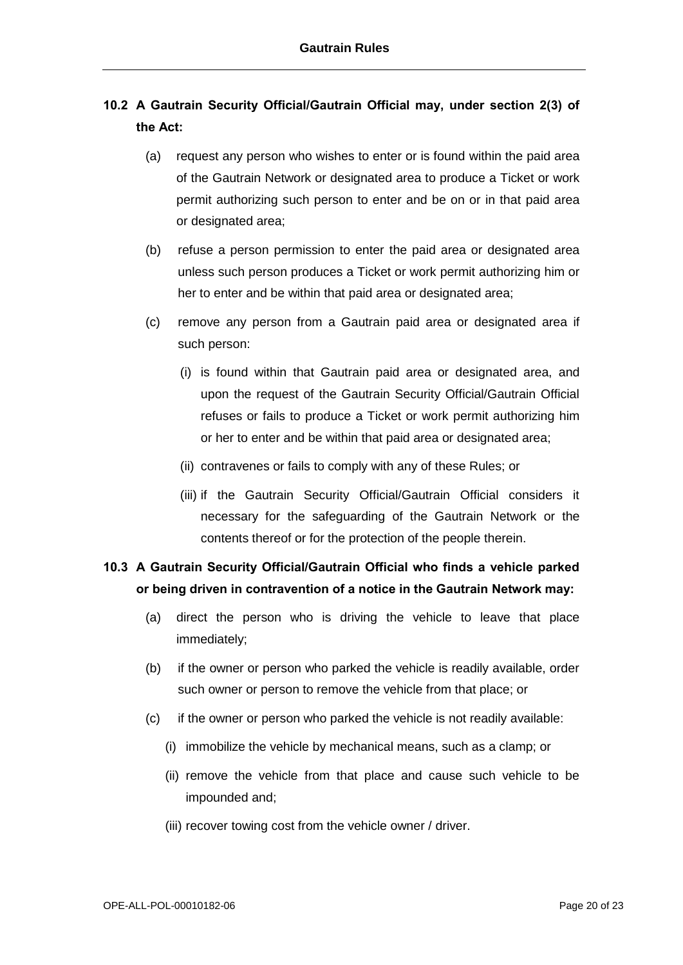## **10.2 A Gautrain Security Official/Gautrain Official may, under section 2(3) of the Act:**

- (a) request any person who wishes to enter or is found within the paid area of the Gautrain Network or designated area to produce a Ticket or work permit authorizing such person to enter and be on or in that paid area or designated area;
- (b) refuse a person permission to enter the paid area or designated area unless such person produces a Ticket or work permit authorizing him or her to enter and be within that paid area or designated area;
- (c) remove any person from a Gautrain paid area or designated area if such person:
	- (i) is found within that Gautrain paid area or designated area, and upon the request of the Gautrain Security Official/Gautrain Official refuses or fails to produce a Ticket or work permit authorizing him or her to enter and be within that paid area or designated area;
	- (ii) contravenes or fails to comply with any of these Rules; or
	- (iii) if the Gautrain Security Official/Gautrain Official considers it necessary for the safeguarding of the Gautrain Network or the contents thereof or for the protection of the people therein.

## **10.3 A Gautrain Security Official/Gautrain Official who finds a vehicle parked or being driven in contravention of a notice in the Gautrain Network may:**

- (a) direct the person who is driving the vehicle to leave that place immediately;
- (b) if the owner or person who parked the vehicle is readily available, order such owner or person to remove the vehicle from that place; or
- (c) if the owner or person who parked the vehicle is not readily available:
	- (i) immobilize the vehicle by mechanical means, such as a clamp; or
	- (ii) remove the vehicle from that place and cause such vehicle to be impounded and;
	- (iii) recover towing cost from the vehicle owner / driver.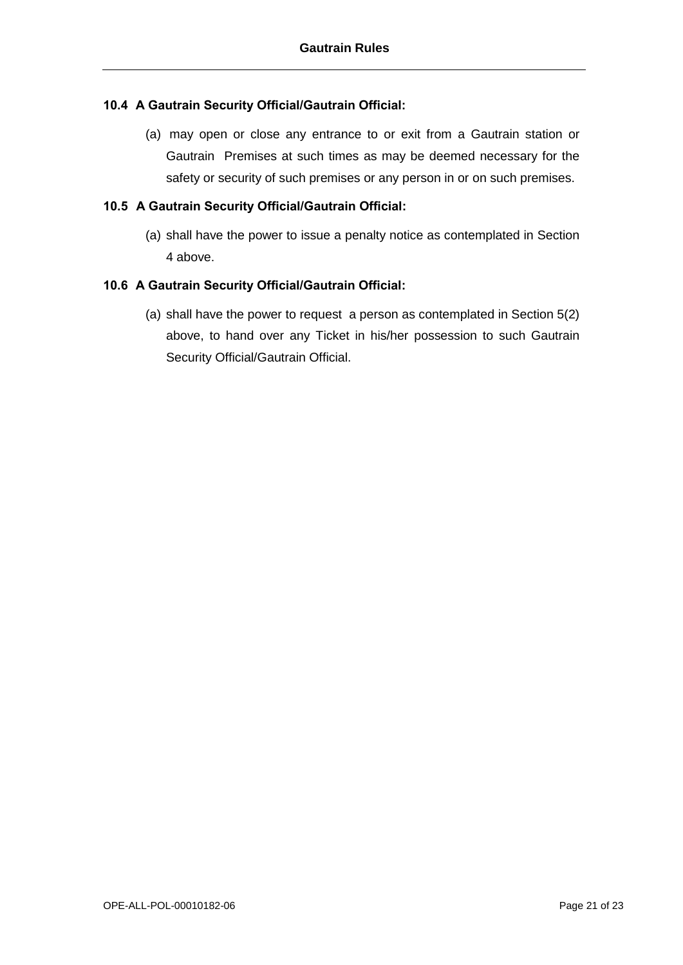### **10.4 A Gautrain Security Official/Gautrain Official:**

(a) may open or close any entrance to or exit from a Gautrain station or Gautrain Premises at such times as may be deemed necessary for the safety or security of such premises or any person in or on such premises.

### **10.5 A Gautrain Security Official/Gautrain Official:**

(a) shall have the power to issue a penalty notice as contemplated in Section 4 above.

### **10.6 A Gautrain Security Official/Gautrain Official:**

(a) shall have the power to request a person as contemplated in Section 5(2) above, to hand over any Ticket in his/her possession to such Gautrain Security Official/Gautrain Official.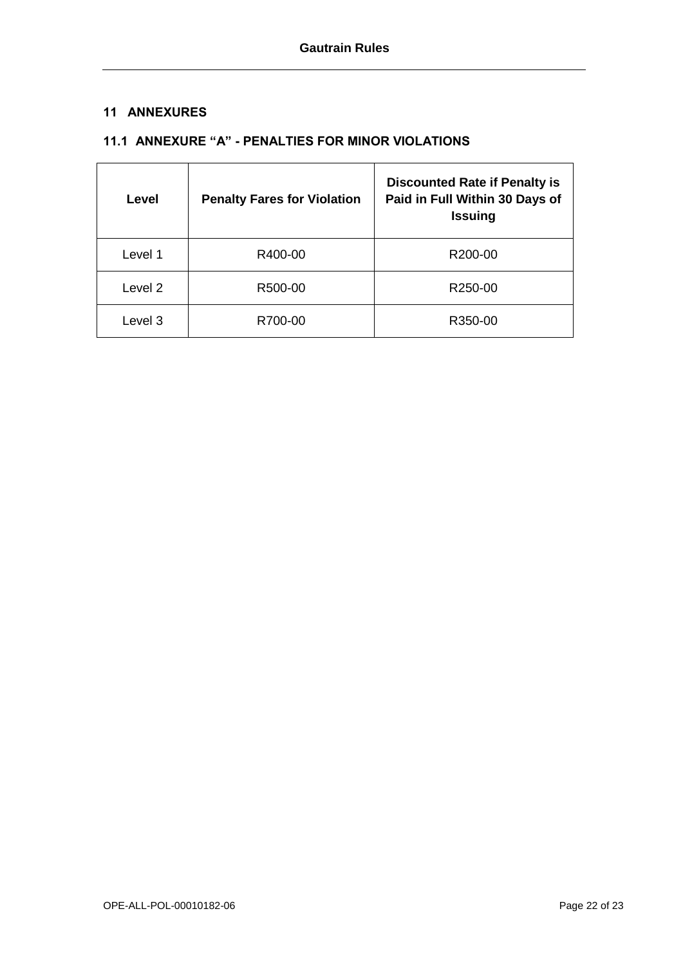### **11 ANNEXURES**

### **11.1 ANNEXURE "A" - PENALTIES FOR MINOR VIOLATIONS**

| Level   | <b>Penalty Fares for Violation</b> | <b>Discounted Rate if Penalty is</b><br>Paid in Full Within 30 Days of<br><b>Issuing</b> |
|---------|------------------------------------|------------------------------------------------------------------------------------------|
| Level 1 | R400-00                            | R200-00                                                                                  |
| Level 2 | R500-00                            | R250-00                                                                                  |
| Level 3 | R700-00                            | R350-00                                                                                  |